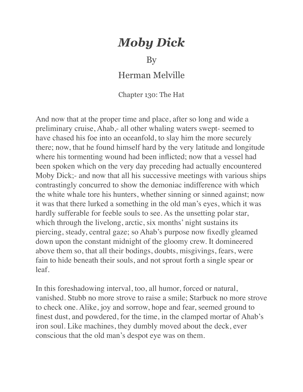## *Moby Dick*

By

Herman Melville

Chapter 130: The Hat

And now that at the proper time and place, after so long and wide a preliminary cruise, Ahab,- all other whaling waters swept- seemed to have chased his foe into an oceanfold, to slay him the more securely there; now, that he found himself hard by the very latitude and longitude where his tormenting wound had been inflicted; now that a vessel had been spoken which on the very day preceding had actually encountered Moby Dick;- and now that all his successive meetings with various ships contrastingly concurred to show the demoniac indifference with which the white whale tore his hunters, whether sinning or sinned against; now it was that there lurked a something in the old man's eyes, which it was hardly sufferable for feeble souls to see. As the unsetting polar star, which through the livelong, arctic, six months' night sustains its piercing, steady, central gaze; so Ahab's purpose now fixedly gleamed down upon the constant midnight of the gloomy crew. It domineered above them so, that all their bodings, doubts, misgivings, fears, were fain to hide beneath their souls, and not sprout forth a single spear or leaf.

In this foreshadowing interval, too, all humor, forced or natural, vanished. Stubb no more strove to raise a smile; Starbuck no more strove to check one. Alike, joy and sorrow, hope and fear, seemed ground to finest dust, and powdered, for the time, in the clamped mortar of Ahab's iron soul. Like machines, they dumbly moved about the deck, ever conscious that the old man's despot eye was on them.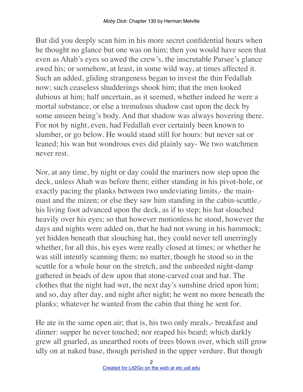But did you deeply scan him in his more secret confidential hours when he thought no glance but one was on him; then you would have seen that even as Ahab's eyes so awed the crew's, the inscrutable Parsee's glance awed his; or somehow, at least, in some wild way, at times affected it. Such an added, gliding strangeness began to invest the thin Fedallah now; such ceaseless shudderings shook him; that the men looked dubious at him; half uncertain, as it seemed, whether indeed he were a mortal substance, or else a tremulous shadow cast upon the deck by some unseen being's body. And that shadow was always hovering there. For not by night, even, had Fedallah ever certainly been known to slumber, or go below. He would stand still for hours: but never sat or leaned; his wan but wondrous eves did plainly say- We two watchmen never rest.

Nor, at any time, by night or day could the mariners now step upon the deck, unless Ahab was before them; either standing in his pivot-hole, or exactly pacing the planks between two undeviating limits,- the mainmast and the mizen; or else they saw him standing in the cabin-scuttle, his living foot advanced upon the deck, as if to step; his hat slouched heavily over his eyes; so that however motionless he stood, however the days and nights were added on, that he had not swung in his hammock; yet hidden beneath that slouching hat, they could never tell unerringly whether, for all this, his eyes were really closed at times; or whether he was still intently scanning them; no matter, though he stood so in the scuttle for a whole hour on the stretch, and the unheeded night-damp gathered in beads of dew upon that stone-carved coat and hat. The clothes that the night had wet, the next day's sunshine dried upon him; and so, day after day, and night after night; he went no more beneath the planks; whatever he wanted from the cabin that thing he sent for.

He ate in the same open air; that is, his two only meals,- breakfast and dinner: supper he never touched; nor reaped his beard; which darkly grew all gnarled, as unearthed roots of trees blown over, which still grow idly on at naked base, though perished in the upper verdure. But though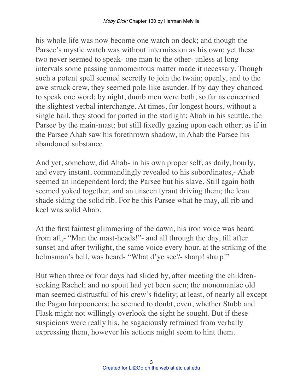his whole life was now become one watch on deck; and though the Parsee's mystic watch was without intermission as his own; yet these two never seemed to speak- one man to the other- unless at long intervals some passing unmomentous matter made it necessary. Though such a potent spell seemed secretly to join the twain; openly, and to the awe-struck crew, they seemed pole-like asunder. If by day they chanced to speak one word; by night, dumb men were both, so far as concerned the slightest verbal interchange. At times, for longest hours, without a single hail, they stood far parted in the starlight; Ahab in his scuttle, the Parsee by the main-mast; but still fixedly gazing upon each other; as if in the Parsee Ahab saw his forethrown shadow, in Ahab the Parsee his abandoned substance.

And yet, somehow, did Ahab- in his own proper self, as daily, hourly, and every instant, commandingly revealed to his subordinates,- Ahab seemed an independent lord; the Parsee but his slave. Still again both seemed yoked together, and an unseen tyrant driving them; the lean shade siding the solid rib. For be this Parsee what he may, all rib and keel was solid Ahab.

At the first faintest glimmering of the dawn, his iron voice was heard from aft,- "Man the mast-heads!"- and all through the day, till after sunset and after twilight, the same voice every hour, at the striking of the helmsman's bell, was heard- "What d'ye see?- sharp! sharp!"

But when three or four days had slided by, after meeting the childrenseeking Rachel; and no spout had yet been seen; the monomaniac old man seemed distrustful of his crew's fidelity; at least, of nearly all except the Pagan harpooneers; he seemed to doubt, even, whether Stubb and Flask might not willingly overlook the sight he sought. But if these suspicions were really his, he sagaciously refrained from verbally expressing them, however his actions might seem to hint them.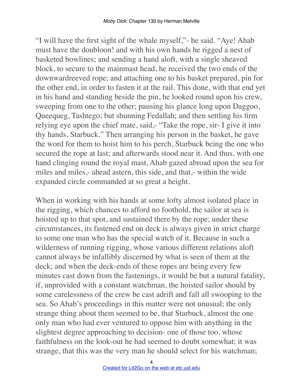"I will have the first sight of the whale myself,"- he said. "Aye! Ahab must have the doubloon! and with his own hands he rigged a nest of basketed bowlines; and sending a hand aloft, with a single sheaved block, to secure to the mainmast head, he received the two ends of the downwardreeved rope; and attaching one to his basket prepared, pin for the other end, in order to fasten it at the rail. This done, with that end yet in his hand and standing beside the pin, he looked round upon his crew, sweeping from one to the other; pausing his glance long upon Daggoo, Queequeg, Tashtego; but shunning Fedallah; and then settling his firm relying eye upon the chief mate, said,- "Take the rope, sir- I give it into thy hands, Starbuck." Then arranging his person in the basket, he gave the word for them to hoist him to his perch, Starbuck being the one who secured the rope at last; and afterwards stood near it. And thus, with one hand clinging round the royal mast, Ahab gazed abroad upon the sea for miles and miles,- ahead astern, this side, and that,- within the wide expanded circle commanded at so great a height.

When in working with his hands at some lofty almost isolated place in the rigging, which chances to afford no foothold, the sailor at sea is hoisted up to that spot, and sustained there by the rope; under these circumstances, its fastened end on deck is always given in strict charge to some one man who has the special watch of it. Because in such a wilderness of running rigging, whose various different relations aloft cannot always be infallibly discerned by what is seen of them at the deck; and when the deck-ends of these ropes are being every few minutes cast down from the fastenings, it would be but a natural fatality, if, unprovided with a constant watchman, the hoisted sailor should by some carelessness of the crew be cast adrift and fall all swooping to the sea. So Ahab's proceedings in this matter were not unusual; the only strange thing about them seemed to be, that Starbuck, almost the one only man who had ever ventured to oppose him with anything in the slightest degree approaching to decision- one of those too, whose faithfulness on the look-out he had seemed to doubt somewhat; it was strange, that this was the very man he should select for his watchman;